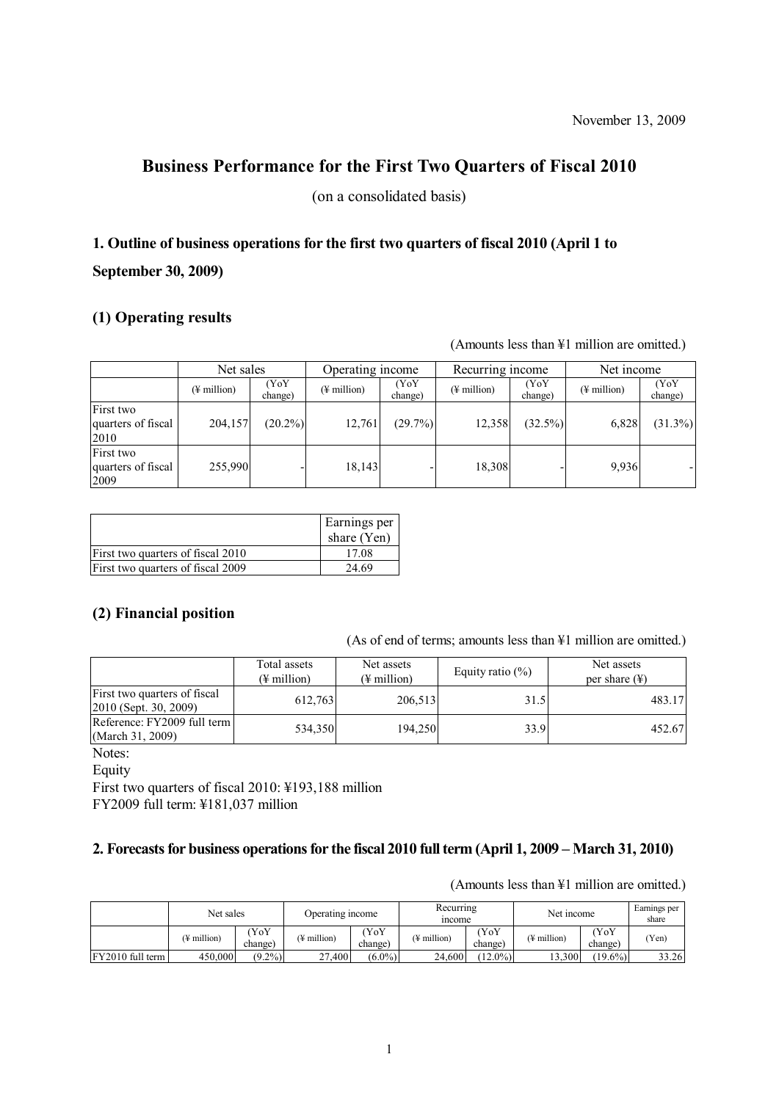## **Business Performance for the First Two Quarters of Fiscal 2010**

(on a consolidated basis)

# **1. Outline of business operations for the first two quarters of fiscal 2010 (April 1 to September 30, 2009)**

## **(1) Operating results**

(Amounts less than ¥1 million are omitted.)

|                                         |                         | Net sales       |                         | Operating income |                         | Recurring income |                         | Net income      |  |
|-----------------------------------------|-------------------------|-----------------|-------------------------|------------------|-------------------------|------------------|-------------------------|-----------------|--|
|                                         | $(\frac{1}{2})$ million | (YoY<br>change) | $(\frac{1}{2})$ million | (YoY<br>change)  | $(\frac{1}{2}$ million) | (YoY<br>change)  | $(\frac{1}{2})$ million | (YoY<br>change) |  |
| First two<br>quarters of fiscal<br>2010 | 204,157                 | $(20.2\%)$      | 12,761                  | $(29.7\%)$       | 12,358                  | $(32.5\%)$       | 6,828                   | $(31.3\%)$      |  |
| First two<br>quarters of fiscal<br>2009 | 255,990                 |                 | 18,143                  |                  | 18,308                  |                  | 9.936                   |                 |  |

|                                   | Earnings per<br>share $(Yen)$ |
|-----------------------------------|-------------------------------|
| First two quarters of fiscal 2010 | 17.08                         |
| First two quarters of fiscal 2009 | 24.69                         |

## **(2) Financial position**

(As of end of terms; amounts less than ¥1 million are omitted.)

|                                                       | Total assets<br>$(\frac{1}{2})$ million | Net assets<br>$(\frac{1}{2})$ million | Equity ratio $(\% )$ | Net assets<br>per share $(\frac{1}{2})$ |  |
|-------------------------------------------------------|-----------------------------------------|---------------------------------------|----------------------|-----------------------------------------|--|
| First two quarters of fiscal<br>2010 (Sept. 30, 2009) | 612,763                                 | 206,513                               | 31.5                 | 483.17                                  |  |
| Reference: FY2009 full term<br>(March 31, 2009)       | 534.350                                 | 194.250                               | 33.9                 | 452.67                                  |  |

Notes:

Equity

First two quarters of fiscal 2010: ¥193,188 million FY2009 full term: ¥181,037 million

## **2. Forecasts for business operations for the fiscal 2010 full term (April 1, 2009 – March 31, 2010)**

|                    | Net sales   |                 | Operating income |                | Recurring<br><i>n</i> come |                 | Net income    |                 | Earnings per<br>share |
|--------------------|-------------|-----------------|------------------|----------------|----------------------------|-----------------|---------------|-----------------|-----------------------|
|                    | (¥ million) | YoY)<br>change) | (¥ million)      | YoY<br>change) | (¥ million)                | (YoY<br>change) | $(4$ million) | (YoY<br>change) | (Yen)                 |
| $FY2010$ full term | 450,000     | $(9.2\%)$       | 27.400           | $(6.0\%)$      | 24.600                     | $(12.0\%)$      | 13.300        | $(19.6\%)$      | 33.26                 |

(Amounts less than ¥1 million are omitted.)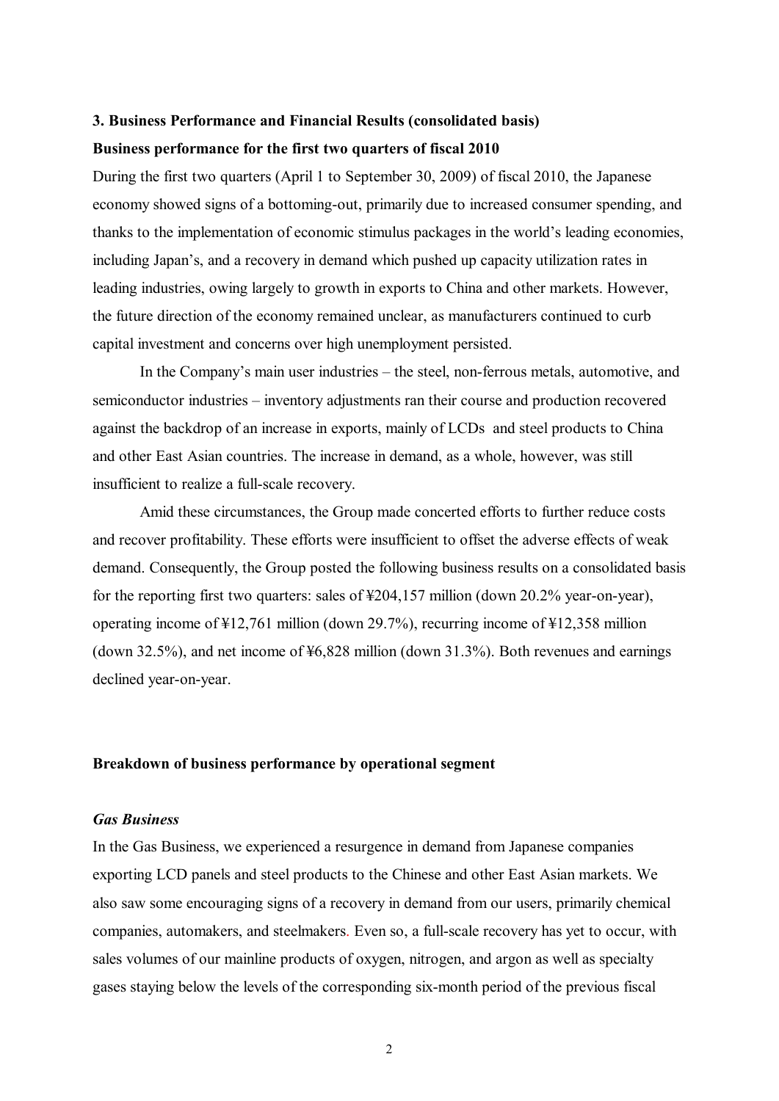## **3. Business Performance and Financial Results (consolidated basis) Business performance for the first two quarters of fiscal 2010**

During the first two quarters (April 1 to September 30, 2009) of fiscal 2010, the Japanese economy showed signs of a bottoming-out, primarily due to increased consumer spending, and thanks to the implementation of economic stimulus packages in the world's leading economies, including Japan's, and a recovery in demand which pushed up capacity utilization rates in leading industries, owing largely to growth in exports to China and other markets. However, the future direction of the economy remained unclear, as manufacturers continued to curb capital investment and concerns over high unemployment persisted.

In the Company's main user industries – the steel, non-ferrous metals, automotive, and semiconductor industries – inventory adjustments ran their course and production recovered against the backdrop of an increase in exports, mainly of LCDs and steel products to China and other East Asian countries. The increase in demand, as a whole, however, was still insufficient to realize a full-scale recovery.

Amid these circumstances, the Group made concerted efforts to further reduce costs and recover profitability. These efforts were insufficient to offset the adverse effects of weak demand. Consequently, the Group posted the following business results on a consolidated basis for the reporting first two quarters: sales of ¥204,157 million (down 20.2% year-on-year), operating income of ¥12,761 million (down 29.7%), recurring income of ¥12,358 million (down 32.5%), and net income of ¥6,828 million (down 31.3%). Both revenues and earnings declined year-on-year.

#### **Breakdown of business performance by operational segment**

#### *Gas Business*

In the Gas Business, we experienced a resurgence in demand from Japanese companies exporting LCD panels and steel products to the Chinese and other East Asian markets. We also saw some encouraging signs of a recovery in demand from our users, primarily chemical companies, automakers, and steelmakers. Even so, a full-scale recovery has yet to occur, with sales volumes of our mainline products of oxygen, nitrogen, and argon as well as specialty gases staying below the levels of the corresponding six-month period of the previous fiscal

2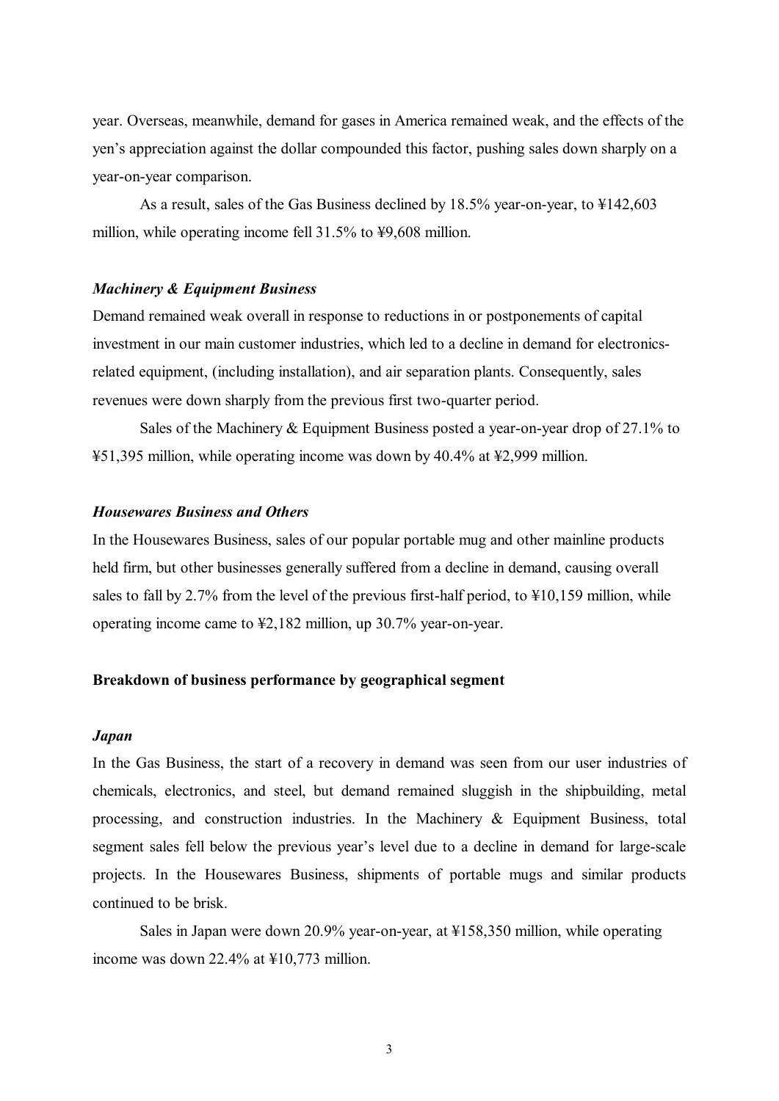year. Overseas, meanwhile, demand for gases in America remained weak, and the effects of the yen's appreciation against the dollar compounded this factor, pushing sales down sharply on a year-on-year comparison.

As a result, sales of the Gas Business declined by 18.5% year-on-year, to ¥142,603 million, while operating income fell 31.5% to ¥9,608 million.

#### *Machinery & Equipment Business*

Demand remained weak overall in response to reductions in or postponements of capital investment in our main customer industries, which led to a decline in demand for electronicsrelated equipment, (including installation), and air separation plants. Consequently, sales revenues were down sharply from the previous first two-quarter period.

Sales of the Machinery & Equipment Business posted a year-on-year drop of 27.1% to ¥51,395 million, while operating income was down by 40.4% at ¥2,999 million.

#### *Housewares Business and Others*

In the Housewares Business, sales of our popular portable mug and other mainline products held firm, but other businesses generally suffered from a decline in demand, causing overall sales to fall by 2.7% from the level of the previous first-half period, to ¥10,159 million, while operating income came to ¥2,182 million, up 30.7% year-on-year.

## **Breakdown of business performance by geographical segment**

#### *Japan*

In the Gas Business, the start of a recovery in demand was seen from our user industries of chemicals, electronics, and steel, but demand remained sluggish in the shipbuilding, metal processing, and construction industries. In the Machinery & Equipment Business, total segment sales fell below the previous year's level due to a decline in demand for large-scale projects. In the Housewares Business, shipments of portable mugs and similar products continued to be brisk.

Sales in Japan were down 20.9% year-on-year, at ¥158,350 million, while operating income was down 22.4% at ¥10,773 million.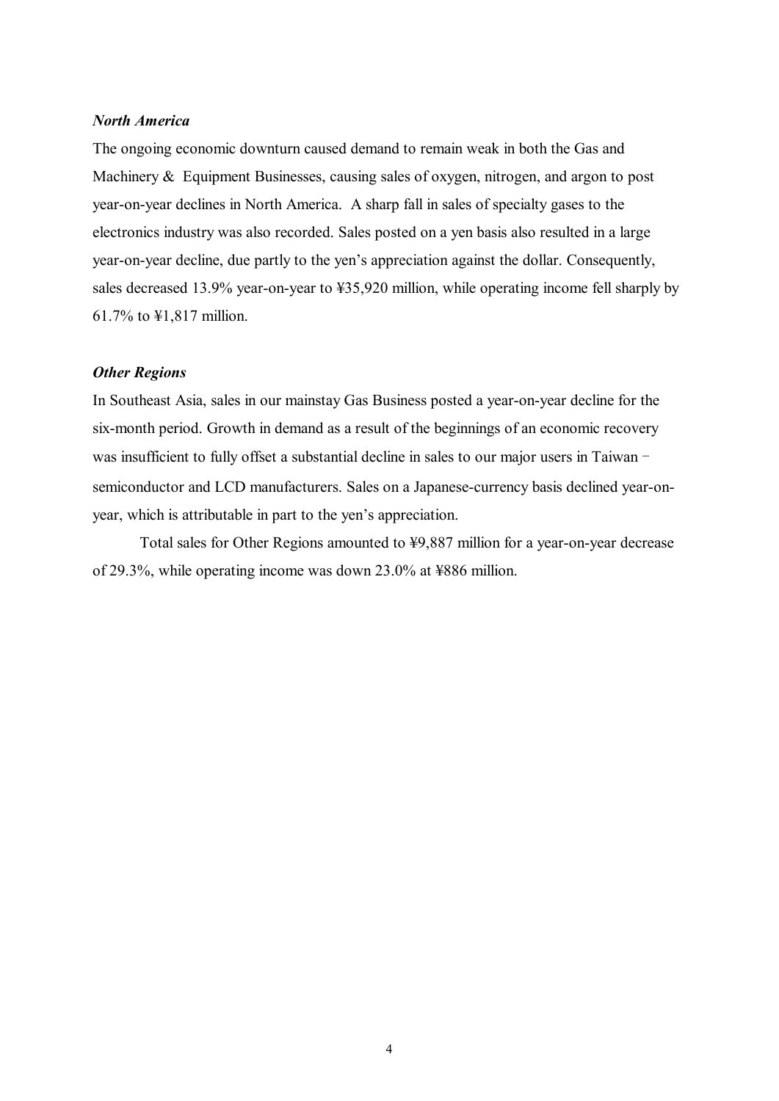#### *North America*

The ongoing economic downturn caused demand to remain weak in both the Gas and Machinery & Equipment Businesses, causing sales of oxygen, nitrogen, and argon to post year-on-year declines in North America. A sharp fall in sales of specialty gases to the electronics industry was also recorded. Sales posted on a yen basis also resulted in a large year-on-year decline, due partly to the yen's appreciation against the dollar. Consequently, sales decreased 13.9% year-on-year to ¥35,920 million, while operating income fell sharply by 61.7% to ¥1,817 million.

#### *Other Regions*

In Southeast Asia, sales in our mainstay Gas Business posted a year-on-year decline for the six-month period. Growth in demand as a result of the beginnings of an economic recovery was insufficient to fully offset a substantial decline in sales to our major users in Taiwan – semiconductor and LCD manufacturers. Sales on a Japanese-currency basis declined year-onyear, which is attributable in part to the yen's appreciation.

Total sales for Other Regions amounted to ¥9,887 million for a year-on-year decrease of 29.3%, while operating income was down 23.0% at ¥886 million.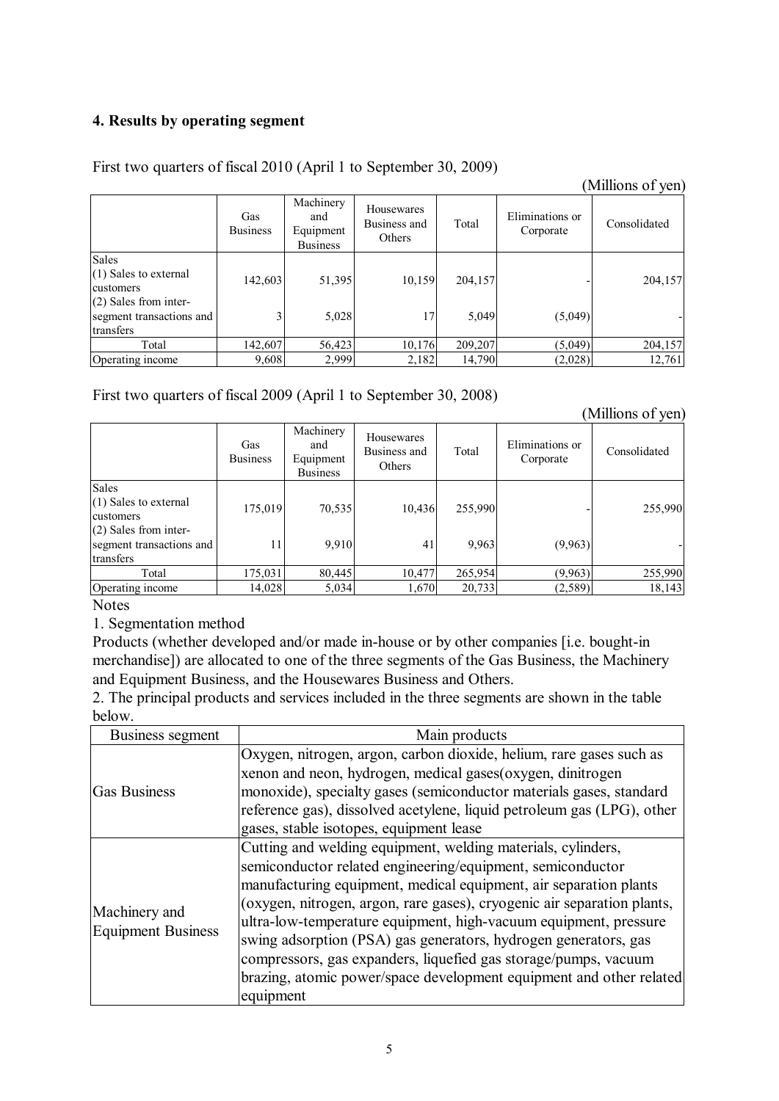## **4. Results by operating segment**

## First two quarters of fiscal 2010 (April 1 to September 30, 2009)

|                                                                |                        |                                                  |                                      |         |                              | (Millions of yen) |
|----------------------------------------------------------------|------------------------|--------------------------------------------------|--------------------------------------|---------|------------------------------|-------------------|
|                                                                | Gas<br><b>Business</b> | Machinery<br>and<br>Equipment<br><b>Business</b> | Housewares<br>Business and<br>Others | Total   | Eliminations or<br>Corporate | Consolidated      |
| Sales<br>(1) Sales to external<br>customers                    | 142,603                | 51,395                                           | 10,159                               | 204,157 |                              | 204,157           |
| (2) Sales from inter-<br>segment transactions and<br>transfers |                        | 5,028                                            | 17                                   | 5,049   | (5,049)                      |                   |
| Total                                                          | 142,607                | 56,423                                           | 10,176                               | 209,207 | (5,049)                      | 204,157           |
| Operating income                                               | 9,608                  | 2,999                                            | 2,182                                | 14,790  | (2,028)                      | 12,761            |

First two quarters of fiscal 2009 (April 1 to September 30, 2008)

(Millions of yen)

|                                       | Gas<br><b>Business</b> | Machinery<br>and<br>Equipment<br><b>Business</b> | Housewares<br>Business and<br>Others | Total   | Eliminations or<br>Corporate | Consolidated |
|---------------------------------------|------------------------|--------------------------------------------------|--------------------------------------|---------|------------------------------|--------------|
| <b>Sales</b>                          |                        |                                                  |                                      |         |                              |              |
| $(1)$ Sales to external<br>customers  | 175,019                | 70,535                                           | 10,436                               | 255,990 |                              | 255,990      |
| $(2)$ Sales from inter-               |                        |                                                  |                                      |         |                              |              |
| segment transactions and<br>transfers | 11                     | 9,910                                            | 41                                   | 9.963   | (9,963)                      |              |
| Total                                 | 175,031                | 80,445                                           | 10,477                               | 265,954 | (9,963)                      | 255,990      |
|                                       |                        |                                                  |                                      |         |                              |              |
| Operating income                      | 14,028                 | 5,034                                            | 1,670                                | 20,733  | (2, 589)                     | 18,143       |

Notes

1. Segmentation method

Products (whether developed and/or made in-house or by other companies [i.e. bought-in merchandise]) are allocated to one of the three segments of the Gas Business, the Machinery and Equipment Business, and the Housewares Business and Others.

2. The principal products and services included in the three segments are shown in the table below.

| Business segment    | Main products                                                           |
|---------------------|-------------------------------------------------------------------------|
|                     | Oxygen, nitrogen, argon, carbon dioxide, helium, rare gases such as     |
|                     | xenon and neon, hydrogen, medical gases(oxygen, dinitrogen              |
| <b>Gas Business</b> | monoxide), specialty gases (semiconductor materials gases, standard     |
|                     | reference gas), dissolved acetylene, liquid petroleum gas (LPG), other  |
|                     | gases, stable isotopes, equipment lease                                 |
|                     | Cutting and welding equipment, welding materials, cylinders,            |
|                     | semiconductor related engineering/equipment, semiconductor              |
|                     | manufacturing equipment, medical equipment, air separation plants       |
| Machinery and       | (oxygen, nitrogen, argon, rare gases), cryogenic air separation plants, |
| Equipment Business  | ultra-low-temperature equipment, high-vacuum equipment, pressure        |
|                     | swing adsorption (PSA) gas generators, hydrogen generators, gas         |
|                     | compressors, gas expanders, liquefied gas storage/pumps, vacuum         |
|                     | brazing, atomic power/space development equipment and other related     |
|                     | equipment                                                               |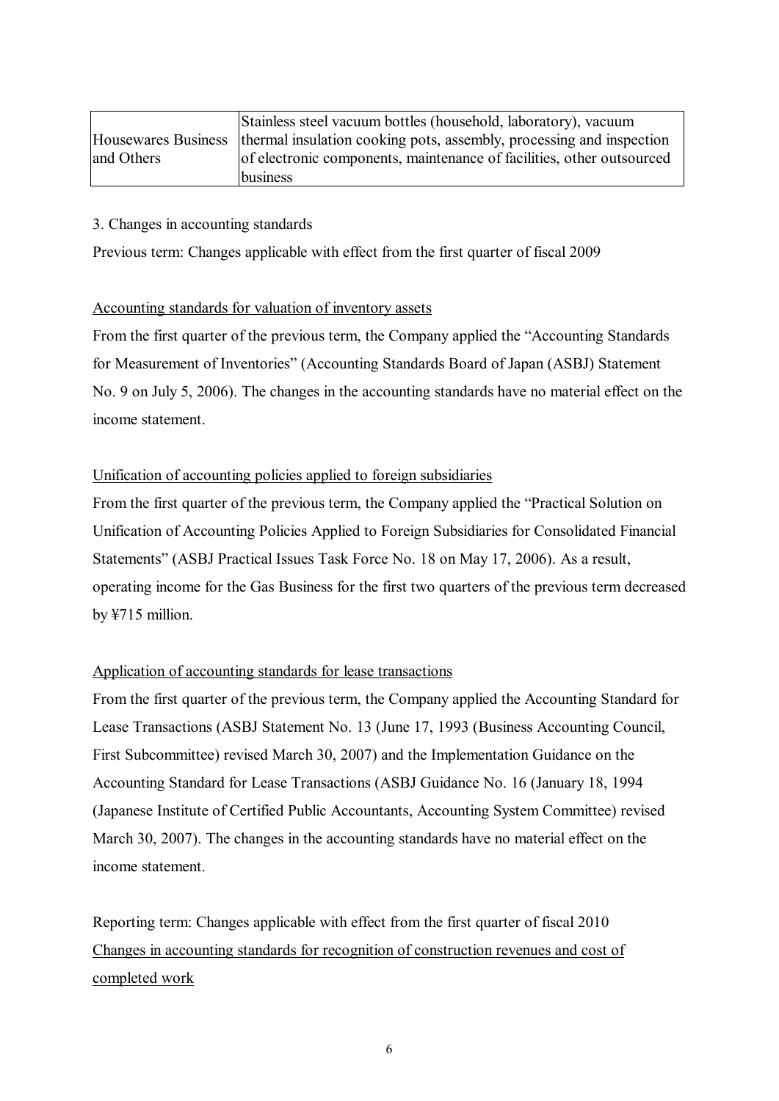|            | Stainless steel vacuum bottles (household, laboratory), vacuum                             |
|------------|--------------------------------------------------------------------------------------------|
|            | Housewares Business   thermal insulation cooking pots, assembly, processing and inspection |
| and Others | of electronic components, maintenance of facilities, other outsourced                      |
|            | business                                                                                   |

## 3. Changes in accounting standards

Previous term: Changes applicable with effect from the first quarter of fiscal 2009

## Accounting standards for valuation of inventory assets

From the first quarter of the previous term, the Company applied the "Accounting Standards for Measurement of Inventories" (Accounting Standards Board of Japan (ASBJ) Statement No. 9 on July 5, 2006). The changes in the accounting standards have no material effect on the income statement.

## Unification of accounting policies applied to foreign subsidiaries

From the first quarter of the previous term, the Company applied the "Practical Solution on Unification of Accounting Policies Applied to Foreign Subsidiaries for Consolidated Financial Statements" (ASBJ Practical Issues Task Force No. 18 on May 17, 2006). As a result, operating income for the Gas Business for the first two quarters of the previous term decreased by ¥715 million.

## Application of accounting standards for lease transactions

From the first quarter of the previous term, the Company applied the Accounting Standard for Lease Transactions (ASBJ Statement No. 13 (June 17, 1993 (Business Accounting Council, First Subcommittee) revised March 30, 2007) and the Implementation Guidance on the Accounting Standard for Lease Transactions (ASBJ Guidance No. 16 (January 18, 1994 (Japanese Institute of Certified Public Accountants, Accounting System Committee) revised March 30, 2007). The changes in the accounting standards have no material effect on the income statement.

Reporting term: Changes applicable with effect from the first quarter of fiscal 2010 Changes in accounting standards for recognition of construction revenues and cost of completed work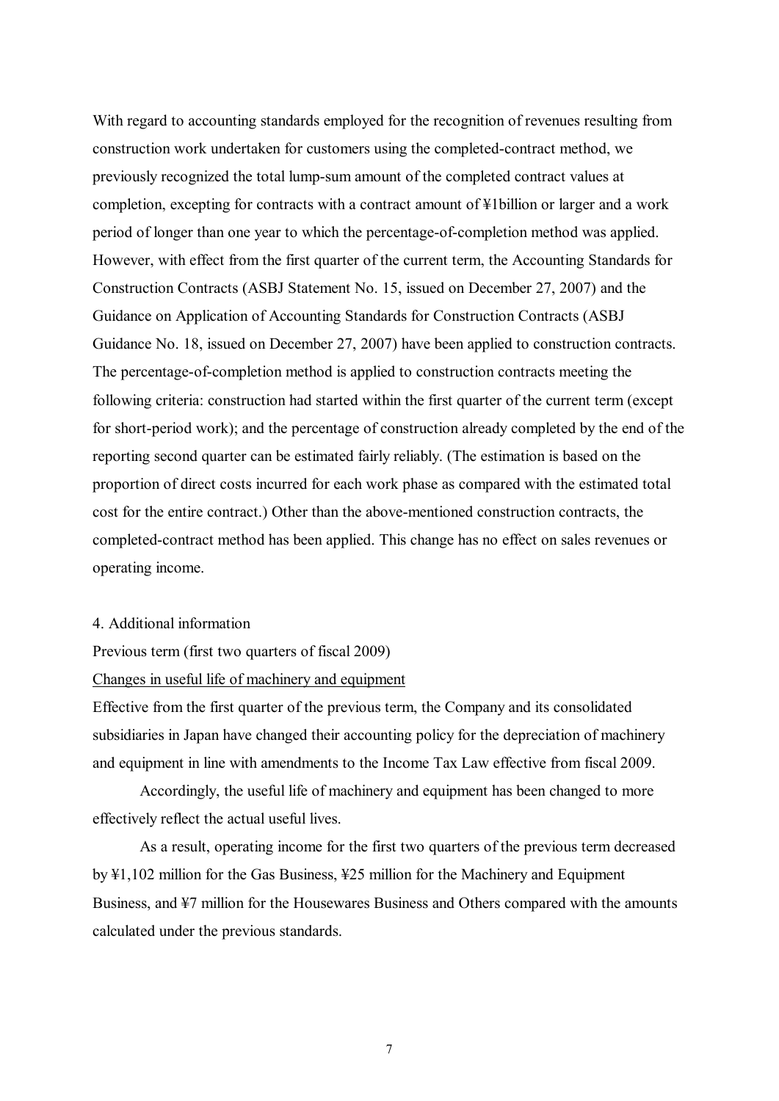With regard to accounting standards employed for the recognition of revenues resulting from construction work undertaken for customers using the completed-contract method, we previously recognized the total lump-sum amount of the completed contract values at completion, excepting for contracts with a contract amount of ¥1billion or larger and a work period of longer than one year to which the percentage-of-completion method was applied. However, with effect from the first quarter of the current term, the Accounting Standards for Construction Contracts (ASBJ Statement No. 15, issued on December 27, 2007) and the Guidance on Application of Accounting Standards for Construction Contracts (ASBJ Guidance No. 18, issued on December 27, 2007) have been applied to construction contracts. The percentage-of-completion method is applied to construction contracts meeting the following criteria: construction had started within the first quarter of the current term (except for short-period work); and the percentage of construction already completed by the end of the reporting second quarter can be estimated fairly reliably. (The estimation is based on the proportion of direct costs incurred for each work phase as compared with the estimated total cost for the entire contract.) Other than the above-mentioned construction contracts, the completed-contract method has been applied. This change has no effect on sales revenues or operating income.

- 4. Additional information
- Previous term (first two quarters of fiscal 2009)
- Changes in useful life of machinery and equipment

Effective from the first quarter of the previous term, the Company and its consolidated subsidiaries in Japan have changed their accounting policy for the depreciation of machinery and equipment in line with amendments to the Income Tax Law effective from fiscal 2009.

Accordingly, the useful life of machinery and equipment has been changed to more effectively reflect the actual useful lives.

As a result, operating income for the first two quarters of the previous term decreased by ¥1,102 million for the Gas Business, ¥25 million for the Machinery and Equipment Business, and ¥7 million for the Housewares Business and Others compared with the amounts calculated under the previous standards.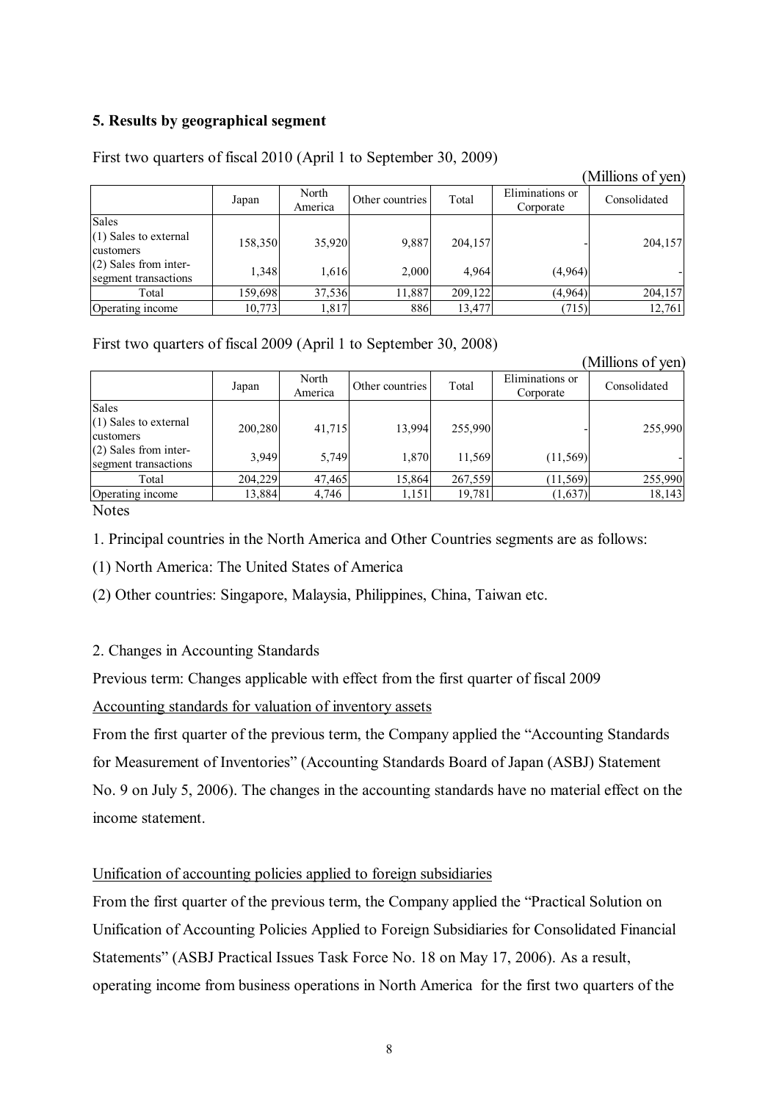## **5. Results by geographical segment**

# First two quarters of fiscal 2010 (April 1 to September 30, 2009)

|                                                 |         |                  |                 |         |                              | THILIOTIO OT YOU |
|-------------------------------------------------|---------|------------------|-----------------|---------|------------------------------|------------------|
|                                                 | Japan   | North<br>America | Other countries | Total   | Eliminations or<br>Corporate | Consolidated     |
| Sales<br>(1) Sales to external<br>customers     | 158,350 | 35,920           | 9,887           | 204,157 |                              | 204,157          |
| $(2)$ Sales from inter-<br>segment transactions | 1,348   | 1,616            | 2,000           | 4,964   | (4,964)                      |                  |
| Total                                           | 159,698 | 37,536           | 1,887           | 209,122 | (4,964)                      | 204,157          |
| Operating income                                | 10,773  | 1,817            | 886             | 13,477  | (715)                        | 12,761           |

(Millions of yen)

## First two quarters of fiscal 2009 (April 1 to September 30, 2008)

|                                                 |         |                  |                 |         |                              | (Millions of yen) |
|-------------------------------------------------|---------|------------------|-----------------|---------|------------------------------|-------------------|
|                                                 | Japan   | North<br>America | Other countries | Total   | Eliminations or<br>Corporate | Consolidated      |
| <b>Sales</b>                                    |         |                  |                 |         |                              |                   |
| $(1)$ Sales to external<br>customers            | 200,280 | 41,715           | 13.994          | 255,990 |                              | 255,990           |
| $(2)$ Sales from inter-<br>segment transactions | 3,949   | 5,749            | 1,870           | 11,569  | (11, 569)                    |                   |
| Total                                           | 204,229 | 47,465           | 15,864          | 267,559 | (11, 569)                    | 255,990           |
| Operating income                                | 13,884  | 4,746            | 1,151           | 19,781  | (1,637)                      | 18,143            |
|                                                 |         |                  |                 |         |                              |                   |

**Notes** 

1. Principal countries in the North America and Other Countries segments are as follows:

(1) North America: The United States of America

(2) Other countries: Singapore, Malaysia, Philippines, China, Taiwan etc.

## 2. Changes in Accounting Standards

Previous term: Changes applicable with effect from the first quarter of fiscal 2009

## Accounting standards for valuation of inventory assets

From the first quarter of the previous term, the Company applied the "Accounting Standards for Measurement of Inventories" (Accounting Standards Board of Japan (ASBJ) Statement No. 9 on July 5, 2006). The changes in the accounting standards have no material effect on the income statement.

## Unification of accounting policies applied to foreign subsidiaries

From the first quarter of the previous term, the Company applied the "Practical Solution on Unification of Accounting Policies Applied to Foreign Subsidiaries for Consolidated Financial Statements" (ASBJ Practical Issues Task Force No. 18 on May 17, 2006). As a result, operating income from business operations in North America for the first two quarters of the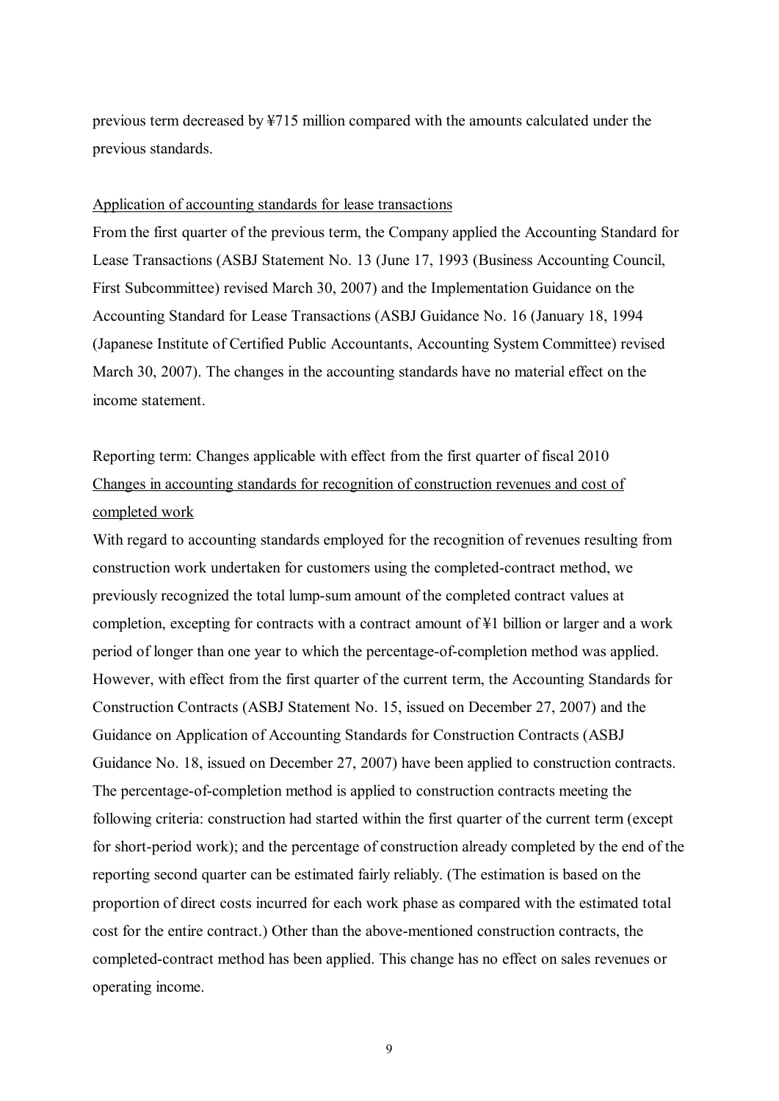previous term decreased by ¥715 million compared with the amounts calculated under the previous standards.

#### Application of accounting standards for lease transactions

From the first quarter of the previous term, the Company applied the Accounting Standard for Lease Transactions (ASBJ Statement No. 13 (June 17, 1993 (Business Accounting Council, First Subcommittee) revised March 30, 2007) and the Implementation Guidance on the Accounting Standard for Lease Transactions (ASBJ Guidance No. 16 (January 18, 1994 (Japanese Institute of Certified Public Accountants, Accounting System Committee) revised March 30, 2007). The changes in the accounting standards have no material effect on the income statement.

# Reporting term: Changes applicable with effect from the first quarter of fiscal 2010 Changes in accounting standards for recognition of construction revenues and cost of completed work

With regard to accounting standards employed for the recognition of revenues resulting from construction work undertaken for customers using the completed-contract method, we previously recognized the total lump-sum amount of the completed contract values at completion, excepting for contracts with a contract amount of  $\frac{1}{2}1$  billion or larger and a work period of longer than one year to which the percentage-of-completion method was applied. However, with effect from the first quarter of the current term, the Accounting Standards for Construction Contracts (ASBJ Statement No. 15, issued on December 27, 2007) and the Guidance on Application of Accounting Standards for Construction Contracts (ASBJ Guidance No. 18, issued on December 27, 2007) have been applied to construction contracts. The percentage-of-completion method is applied to construction contracts meeting the following criteria: construction had started within the first quarter of the current term (except for short-period work); and the percentage of construction already completed by the end of the reporting second quarter can be estimated fairly reliably. (The estimation is based on the proportion of direct costs incurred for each work phase as compared with the estimated total cost for the entire contract.) Other than the above-mentioned construction contracts, the completed-contract method has been applied. This change has no effect on sales revenues or operating income.